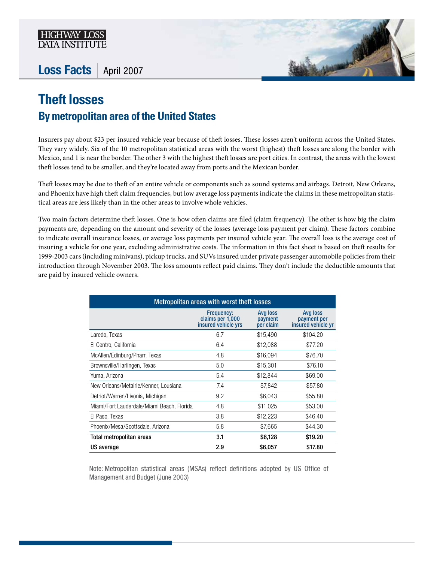

## Loss Facts | April 2007



## **Theft losses By metropolitan area of the United States**

Insurers pay about \$23 per insured vehicle year because of theft losses. These losses aren't uniform across the United States. They vary widely. Six of the 10 metropolitan statistical areas with the worst (highest) theft losses are along the border with Mexico, and 1 is near the border. The other 3 with the highest theft losses are port cities. In contrast, the areas with the lowest theft losses tend to be smaller, and they're located away from ports and the Mexican border.

Theft losses may be due to theft of an entire vehicle or components such as sound systems and airbags. Detroit, New Orleans, and Phoenix have high theft claim frequencies, but low average loss payments indicate the claims in these metropolitan statistical areas are less likely than in the other areas to involve whole vehicles.

Two main factors determine theft losses. One is how often claims are filed (claim frequency). The other is how big the claim payments are, depending on the amount and severity of the losses (average loss payment per claim). These factors combine to indicate overall insurance losses, or average loss payments per insured vehicle year. The overall loss is the average cost of insuring a vehicle for one year, excluding administrative costs. The information in this fact sheet is based on theft results for 1999-2003 cars (including minivans), pickup trucks, and SUVs insured under private passenger automobile policies from their introduction through November 2003. The loss amounts reflect paid claims. They don't include the deductible amounts that are paid by insured vehicle owners.

| Metropolitan areas with worst theft losses |                                                              |                                  |                                                      |  |
|--------------------------------------------|--------------------------------------------------------------|----------------------------------|------------------------------------------------------|--|
|                                            | <b>Frequency:</b><br>claims per 1,000<br>insured vehicle yrs | Avg loss<br>payment<br>per claim | <b>Avg loss</b><br>payment per<br>insured vehicle yr |  |
| Laredo, Texas                              | 6.7                                                          | \$15,490                         | \$104.20                                             |  |
| El Centro, California                      | 6.4                                                          | \$12,088                         | \$77.20                                              |  |
| McAllen/Edinburg/Pharr, Texas              | 4.8                                                          | \$16,094                         | \$76.70                                              |  |
| Brownsville/Harlingen, Texas               | 5.0                                                          | \$15,301                         | \$76.10                                              |  |
| Yuma, Arizona                              | 5.4                                                          | \$12,844                         | \$69.00                                              |  |
| New Orleans/Metairie/Kenner, Lousiana      | 7.4                                                          | \$7,842                          | \$57.80                                              |  |
| Detriot/Warren/Livonia, Michigan           | 9.2                                                          | \$6,043                          | \$55.80                                              |  |
| Miami/Fort Lauderdale/Miami Beach, Florida | 4.8                                                          | \$11,025                         | \$53.00                                              |  |
| El Paso, Texas                             | 3.8                                                          | \$12,223                         | \$46.40                                              |  |
| Phoenix/Mesa/Scottsdale, Arizona           | 5.8                                                          | \$7,665                          | \$44.30                                              |  |
| Total metropolitan areas                   | 3.1                                                          | \$6,128                          | \$19.20                                              |  |
| US average                                 | 2.9                                                          | \$6,057                          | \$17.80                                              |  |

Note: Metropolitan statistical areas (MSAs) reflect definitions adopted by US Office of Management and Budget (June 2003)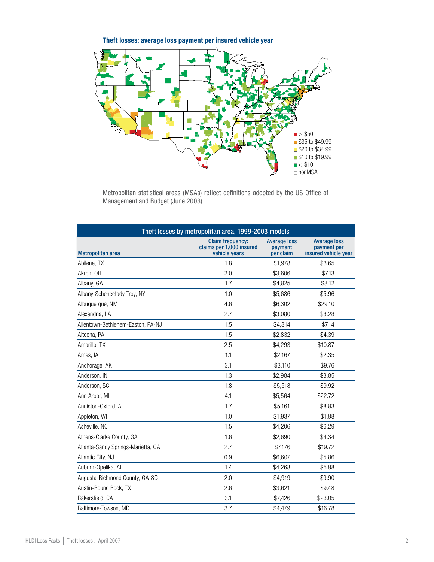Theft losses: average loss payment per insured vehicle year



Metropolitan statistical areas (MSAs) reflect definitions adopted by the US Office of Management and Budget (June 2003)

| Theft losses by metropolitan area, 1999-2003 models |                                                                      |                                             |                                                            |  |
|-----------------------------------------------------|----------------------------------------------------------------------|---------------------------------------------|------------------------------------------------------------|--|
| <b>Metropolitan area</b>                            | <b>Claim frequency:</b><br>claims per 1,000 insured<br>vehicle years | <b>Average loss</b><br>payment<br>per claim | <b>Average loss</b><br>payment per<br>insured vehicle year |  |
| Abilene, TX                                         | 1.8                                                                  | \$1,978                                     | \$3.65                                                     |  |
| Akron, OH                                           | 2.0                                                                  | \$3,606                                     | \$7.13                                                     |  |
| Albany, GA                                          | 1.7                                                                  | \$4,825                                     | \$8.12                                                     |  |
| Albany-Schenectady-Troy, NY                         | 1.0                                                                  | \$5,686                                     | \$5.96                                                     |  |
| Albuquerque, NM                                     | 4.6                                                                  | \$6,302                                     | \$29.10                                                    |  |
| Alexandria, LA                                      | 2.7                                                                  | \$3,080                                     | \$8.28                                                     |  |
| Allentown-Bethlehem-Easton, PA-NJ                   | 1.5                                                                  | \$4,814                                     | \$7.14                                                     |  |
| Altoona, PA                                         | 1.5                                                                  | \$2,832                                     | \$4.39                                                     |  |
| Amarillo, TX                                        | 2.5                                                                  | \$4,293                                     | \$10.87                                                    |  |
| Ames, IA                                            | 1.1                                                                  | \$2,167                                     | \$2.35                                                     |  |
| Anchorage, AK                                       | 3.1                                                                  | \$3,110                                     | \$9.76                                                     |  |
| Anderson, IN                                        | 1.3                                                                  | \$2,984                                     | \$3.85                                                     |  |
| Anderson, SC                                        | 1.8                                                                  | \$5,518                                     | \$9.92                                                     |  |
| Ann Arbor, MI                                       | 4.1                                                                  | \$5,564                                     | \$22.72                                                    |  |
| Anniston-Oxford, AL                                 | 1.7                                                                  | \$5,161                                     | \$8.83                                                     |  |
| Appleton, WI                                        | 1.0                                                                  | \$1,937                                     | \$1.98                                                     |  |
| Asheville, NC                                       | 1.5                                                                  | \$4,206                                     | \$6.29                                                     |  |
| Athens-Clarke County, GA                            | 1.6                                                                  | \$2,690                                     | \$4.34                                                     |  |
| Atlanta-Sandy Springs-Marietta, GA                  | 2.7                                                                  | \$7,176                                     | \$19.72                                                    |  |
| Atlantic City, NJ                                   | 0.9                                                                  | \$6,607                                     | \$5.86                                                     |  |
| Auburn-Opelika, AL                                  | 1.4                                                                  | \$4,268                                     | \$5.98                                                     |  |
| Augusta-Richmond County, GA-SC                      | 2.0                                                                  | \$4,919                                     | \$9.90                                                     |  |
| Austin-Round Rock, TX                               | 2.6                                                                  | \$3,621                                     | \$9.48                                                     |  |
| Bakersfield, CA                                     | 3.1                                                                  | \$7,426                                     | \$23.05                                                    |  |
| Baltimore-Towson, MD                                | 3.7                                                                  | \$4.479                                     | \$16.78                                                    |  |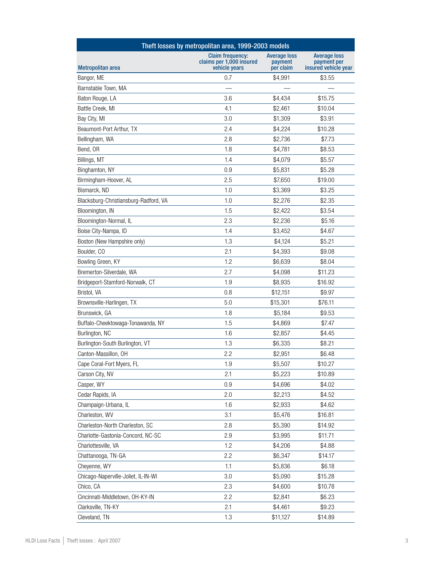| Theft losses by metropolitan area, 1999-2003 models |                                                                      |                                             |                                                            |
|-----------------------------------------------------|----------------------------------------------------------------------|---------------------------------------------|------------------------------------------------------------|
| <b>Metropolitan area</b>                            | <b>Claim frequency:</b><br>claims per 1,000 insured<br>vehicle vears | <b>Average loss</b><br>payment<br>per claim | <b>Average loss</b><br>payment per<br>insured vehicle year |
| Bangor, ME                                          | 0.7                                                                  | \$4.991                                     | \$3.55                                                     |
| Barnstable Town, MA                                 |                                                                      |                                             |                                                            |
| Baton Rouge, LA                                     | 3.6                                                                  | \$4,434                                     | \$15.75                                                    |
| Battle Creek, MI                                    | 4.1                                                                  | \$2,461                                     | \$10.04                                                    |
| Bay City, MI                                        | 3.0                                                                  | \$1,309                                     | \$3.91                                                     |
| Beaumont-Port Arthur, TX                            | 2.4                                                                  | \$4,224                                     | \$10.28                                                    |
| Bellingham, WA                                      | 2.8                                                                  | \$2,736                                     | \$7.73                                                     |
| Bend, OR                                            | 1.8                                                                  | \$4,781                                     | \$8.53                                                     |
| Billings, MT                                        | 1.4                                                                  | \$4,079                                     | \$5.57                                                     |
| Binghamton, NY                                      | 0.9                                                                  | \$5,831                                     | \$5.28                                                     |
| Birmingham-Hoover, AL                               | 2.5                                                                  | \$7,650                                     | \$19.00                                                    |
| Bismarck, ND                                        | 1.0                                                                  | \$3,369                                     | \$3.25                                                     |
| Blacksburg-Christiansburg-Radford, VA               | 1.0                                                                  | \$2,276                                     | \$2.35                                                     |
| Bloomington, IN                                     | 1.5                                                                  | \$2,422                                     | \$3.54                                                     |
| Bloomington-Normal, IL                              | 2.3                                                                  | \$2,236                                     | \$5.16                                                     |
| Boise City-Nampa, ID                                | 1.4                                                                  | \$3,452                                     | \$4.67                                                     |
| Boston (New Hampshire only)                         | 1.3                                                                  | \$4,124                                     | \$5.21                                                     |
| Boulder, CO                                         | 2.1                                                                  | \$4,393                                     | \$9.08                                                     |
| Bowling Green, KY                                   | 1.2                                                                  | \$6,639                                     | \$8.04                                                     |
| Bremerton-Silverdale, WA                            | 2.7                                                                  | \$4,098                                     | \$11.23                                                    |
| Bridgeport-Stamford-Norwalk, CT                     | 1.9                                                                  | \$8,935                                     | \$16.92                                                    |
| Bristol, VA                                         | 0.8                                                                  | \$12,151                                    | \$9.97                                                     |
| Brownsville-Harlingen, TX                           | 5.0                                                                  | \$15,301                                    | \$76.11                                                    |
| Brunswick, GA                                       | 1.8                                                                  | \$5,184                                     | \$9.53                                                     |
| Buffalo-Cheektowaga-Tonawanda, NY                   | 1.5                                                                  | \$4,869                                     | \$7.47                                                     |
| Burlington, NC                                      | 1.6                                                                  | \$2,857                                     | \$4.45                                                     |
| Burlington-South Burlington, VT                     | 1.3                                                                  | \$6,335                                     | \$8.21                                                     |
| Canton-Massillon, OH                                | 2.2                                                                  | \$2,951                                     | \$6.48                                                     |
| Cape Coral-Fort Myers, FL                           | 1.9                                                                  | \$5,507                                     | \$10.27                                                    |
| Carson City, NV                                     | 2.1                                                                  | \$5,223                                     | \$10.89                                                    |
| Casper, WY                                          | 0.9                                                                  | \$4,696                                     | \$4.02                                                     |
| Cedar Rapids, IA                                    | 2.0                                                                  | \$2,213                                     | \$4.52                                                     |
| Champaign-Urbana, IL                                | 1.6                                                                  | \$2,933                                     | \$4.62                                                     |
| Charleston, WV                                      | 3.1                                                                  | \$5,476                                     | \$16.81                                                    |
| Charleston-North Charleston, SC                     | 2.8                                                                  | \$5,390                                     | \$14.92                                                    |
| Charlotte-Gastonia-Concord, NC-SC                   | 2.9                                                                  | \$3,995                                     | \$11.71                                                    |
| Charlottesville, VA                                 | 1.2                                                                  | \$4,206                                     | \$4.88                                                     |
| Chattanooga, TN-GA                                  | 2.2                                                                  | \$6,347                                     | \$14.17                                                    |
| Cheyenne, WY                                        | 1.1                                                                  | \$5,836                                     | \$6.18                                                     |
| Chicago-Naperville-Joliet, IL-IN-WI                 | 3.0                                                                  | \$5,090                                     | \$15.28                                                    |
| Chico, CA                                           | 2.3                                                                  | \$4,600                                     | \$10.78                                                    |
| Cincinnati-Middletown, OH-KY-IN                     | 2.2                                                                  | \$2,841                                     | \$6.23                                                     |
| Clarksville, TN-KY                                  | 2.1                                                                  | \$4,461                                     | \$9.23                                                     |
| Cleveland, TN                                       | 1.3                                                                  | \$11,127                                    | \$14.89                                                    |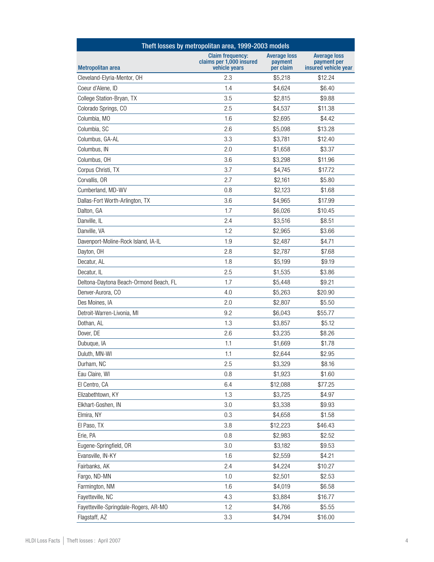| Theft losses by metropolitan area, 1999-2003 models |                                                                      |                                             |                                                            |
|-----------------------------------------------------|----------------------------------------------------------------------|---------------------------------------------|------------------------------------------------------------|
| <b>Metropolitan area</b>                            | <b>Claim frequency:</b><br>claims per 1,000 insured<br>vehicle years | <b>Average loss</b><br>payment<br>per claim | <b>Average loss</b><br>payment per<br>insured vehicle year |
| Cleveland-Elyria-Mentor, OH                         | 2.3                                                                  | \$5,218                                     | \$12.24                                                    |
| Coeur d'Alene, ID                                   | 1.4                                                                  | \$4,624                                     | \$6.40                                                     |
| College Station-Bryan, TX                           | 3.5                                                                  | \$2,815                                     | \$9.88                                                     |
| Colorado Springs, CO                                | 2.5                                                                  | \$4,537                                     | \$11.38                                                    |
| Columbia, MO                                        | 1.6                                                                  | \$2,695                                     | \$4.42                                                     |
| Columbia, SC                                        | 2.6                                                                  | \$5,098                                     | \$13.28                                                    |
| Columbus, GA-AL                                     | 3.3                                                                  | \$3,781                                     | \$12.40                                                    |
| Columbus, IN                                        | 2.0                                                                  | \$1,658                                     | \$3.37                                                     |
| Columbus, OH                                        | 3.6                                                                  | \$3,298                                     | \$11.96                                                    |
| Corpus Christi, TX                                  | 3.7                                                                  | \$4,745                                     | \$17.72                                                    |
| Corvallis, OR                                       | 2.7                                                                  | \$2,161                                     | \$5.80                                                     |
| Cumberland, MD-WV                                   | 0.8                                                                  | \$2,123                                     | \$1.68                                                     |
| Dallas-Fort Worth-Arlington, TX                     | 3.6                                                                  | \$4,965                                     | \$17.99                                                    |
| Dalton, GA                                          | 1.7                                                                  | \$6,026                                     | \$10.45                                                    |
| Danville, IL                                        | 2.4                                                                  | \$3,516                                     | \$8.51                                                     |
| Danville, VA                                        | 1.2                                                                  | \$2,965                                     | \$3.66                                                     |
| Davenport-Moline-Rock Island, IA-IL                 | 1.9                                                                  | \$2,487                                     | \$4.71                                                     |
| Dayton, OH                                          | 2.8                                                                  | \$2,787                                     | \$7.68                                                     |
| Decatur, AL                                         | 1.8                                                                  | \$5,199                                     | \$9.19                                                     |
| Decatur, IL                                         | 2.5                                                                  | \$1,535                                     | \$3.86                                                     |
| Deltona-Daytona Beach-Ormond Beach, FL              | 1.7                                                                  | \$5,448                                     | \$9.21                                                     |
| Denver-Aurora, CO                                   | 4.0                                                                  | \$5,263                                     | \$20.90                                                    |
| Des Moines, IA                                      | 2.0                                                                  | \$2,807                                     | \$5.50                                                     |
| Detroit-Warren-Livonia, MI                          | 9.2                                                                  | \$6,043                                     | \$55.77                                                    |
| Dothan, AL                                          | 1.3                                                                  | \$3,857                                     | \$5.12                                                     |
| Dover, DE                                           | 2.6                                                                  | \$3,235                                     | \$8.26                                                     |
| Dubuque, IA                                         | 1.1                                                                  | \$1,669                                     | \$1.78                                                     |
| Duluth, MN-WI                                       | 1.1                                                                  | \$2,644                                     | \$2.95                                                     |
| Durham, NC                                          | 2.5                                                                  | \$3,329                                     | \$8.16                                                     |
| Eau Claire, WI                                      | 0.8                                                                  | \$1,923                                     | \$1.60                                                     |
| El Centro, CA                                       | 6.4                                                                  | \$12,088                                    | \$77.25                                                    |
| Elizabethtown, KY                                   | 1.3                                                                  | \$3,725                                     | \$4.97                                                     |
| Elkhart-Goshen, IN                                  | 3.0                                                                  | \$3,338                                     | \$9.93                                                     |
| Elmira, NY                                          | 0.3                                                                  | \$4,658                                     | \$1.58                                                     |
| El Paso, TX                                         | 3.8                                                                  | \$12,223                                    | \$46.43                                                    |
| Erie, PA                                            | 0.8                                                                  | \$2,983                                     | \$2.52                                                     |
| Eugene-Springfield, OR                              | 3.0                                                                  | \$3,182                                     | \$9.53                                                     |
| Evansville, IN-KY                                   | 1.6                                                                  | \$2,559                                     | \$4.21                                                     |
| Fairbanks, AK                                       | 2.4                                                                  | \$4,224                                     | \$10.27                                                    |
| Fargo, ND-MN                                        | 1.0                                                                  | \$2,501                                     | \$2.53                                                     |
| Farmington, NM                                      | 1.6                                                                  | \$4,019                                     | \$6.58                                                     |
| Fayetteville, NC                                    | 4.3                                                                  | \$3,884                                     | \$16.77                                                    |
| Fayetteville-Springdale-Rogers, AR-MO               | 1.2                                                                  | \$4,766                                     | \$5.55                                                     |
| Flagstaff, AZ                                       | 3.3                                                                  | \$4,794                                     | \$16.00                                                    |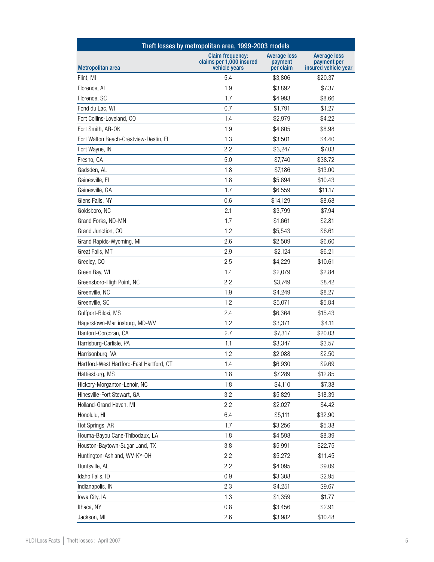| Theft losses by metropolitan area, 1999-2003 models |                                                                      |                                             |                                                            |
|-----------------------------------------------------|----------------------------------------------------------------------|---------------------------------------------|------------------------------------------------------------|
| <b>Metropolitan area</b>                            | <b>Claim frequency:</b><br>claims per 1,000 insured<br>vehicle years | <b>Average loss</b><br>payment<br>per claim | <b>Average loss</b><br>payment per<br>insured vehicle year |
| Flint, MI                                           | 5.4                                                                  | \$3,806                                     | \$20.37                                                    |
| Florence, AL                                        | 1.9                                                                  | \$3.892                                     | \$7.37                                                     |
| Florence, SC                                        | 1.7                                                                  | \$4,993                                     | \$8.66                                                     |
| Fond du Lac, WI                                     | 0.7                                                                  | \$1,791                                     | \$1.27                                                     |
| Fort Collins-Loveland, CO                           | 1.4                                                                  | \$2,979                                     | \$4.22                                                     |
| Fort Smith, AR-OK                                   | 1.9                                                                  | \$4,605                                     | \$8.98                                                     |
| Fort Walton Beach-Crestview-Destin, FL              | 1.3                                                                  | \$3,501                                     | \$4.40                                                     |
| Fort Wayne, IN                                      | 2.2                                                                  | \$3,247                                     | \$7.03                                                     |
| Fresno, CA                                          | 5.0                                                                  | \$7,740                                     | \$38.72                                                    |
| Gadsden, AL                                         | 1.8                                                                  | \$7,186                                     | \$13.00                                                    |
| Gainesville, FL                                     | 1.8                                                                  | \$5,694                                     | \$10.43                                                    |
| Gainesville, GA                                     | 1.7                                                                  | \$6,559                                     | \$11.17                                                    |
| Glens Falls, NY                                     | 0.6                                                                  | \$14,129                                    | \$8.68                                                     |
| Goldsboro, NC                                       | 2.1                                                                  | \$3,799                                     | \$7.94                                                     |
| Grand Forks, ND-MN                                  | 1.7                                                                  | \$1,661                                     | \$2.81                                                     |
| Grand Junction, CO                                  | 1.2                                                                  | \$5,543                                     | \$6.61                                                     |
| Grand Rapids-Wyoming, MI                            | 2.6                                                                  | \$2,509                                     | \$6.60                                                     |
| Great Falls, MT                                     | 2.9                                                                  | \$2,124                                     | \$6.21                                                     |
| Greeley, CO                                         | 2.5                                                                  | \$4,229                                     | \$10.61                                                    |
| Green Bay, WI                                       | 1.4                                                                  | \$2,079                                     | \$2.84                                                     |
| Greensboro-High Point, NC                           | 2.2                                                                  | \$3,749                                     | \$8.42                                                     |
| Greenville, NC                                      | 1.9                                                                  | \$4,249                                     | \$8.27                                                     |
| Greenville, SC                                      | 1.2                                                                  | \$5,071                                     | \$5.84                                                     |
| Gulfport-Biloxi, MS                                 | 2.4                                                                  | \$6,364                                     | \$15.43                                                    |
| Hagerstown-Martinsburg, MD-WV                       | 1.2                                                                  | \$3,371                                     | \$4.11                                                     |
| Hanford-Corcoran, CA                                | 2.7                                                                  | \$7,317                                     | \$20.03                                                    |
| Harrisburg-Carlisle, PA                             | 1.1                                                                  | \$3,347                                     | \$3.57                                                     |
| Harrisonburg, VA                                    | 1.2                                                                  | \$2,088                                     | \$2.50                                                     |
| Hartford-West Hartford-East Hartford, CT            | 1.4                                                                  | \$6,930                                     | \$9.69                                                     |
| Hattiesburg, MS                                     | 1.8                                                                  | \$7,289                                     | \$12.85                                                    |
| Hickory-Morganton-Lenoir, NC                        | 1.8                                                                  | \$4,110                                     | \$7.38                                                     |
| Hinesville-Fort Stewart, GA                         | 3.2                                                                  | \$5,829                                     | \$18.39                                                    |
| Holland-Grand Haven, MI                             | 2.2                                                                  | \$2,027                                     | \$4.42                                                     |
| Honolulu, HI                                        | 6.4                                                                  | \$5,111                                     | \$32.90                                                    |
| Hot Springs, AR                                     | 1.7                                                                  | \$3,256                                     | \$5.38                                                     |
| Houma-Bayou Cane-Thibodaux, LA                      | 1.8                                                                  | \$4,598                                     | \$8.39                                                     |
| Houston-Baytown-Sugar Land, TX                      | 3.8                                                                  | \$5,991                                     | \$22.75                                                    |
| Huntington-Ashland, WV-KY-OH                        | 2.2                                                                  | \$5,272                                     | \$11.45                                                    |
| Huntsville, AL                                      | 2.2                                                                  | \$4,095                                     | \$9.09                                                     |
| Idaho Falls, ID                                     | 0.9                                                                  | \$3,308                                     | \$2.95                                                     |
| Indianapolis, IN                                    | 2.3                                                                  | \$4,251                                     | \$9.67                                                     |
| lowa City, IA                                       | 1.3                                                                  | \$1,359                                     | \$1.77                                                     |
| Ithaca, NY                                          | 0.8                                                                  | \$3,456                                     | \$2.91                                                     |
| Jackson, MI                                         | 2.6                                                                  | \$3,982                                     | \$10.48                                                    |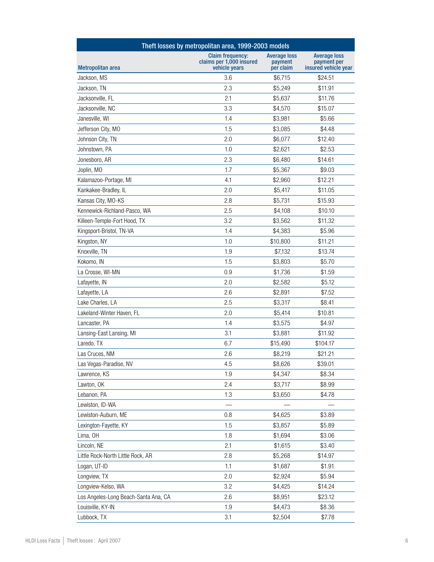| Theft losses by metropolitan area, 1999-2003 models |                                                                      |                                             |                                                            |
|-----------------------------------------------------|----------------------------------------------------------------------|---------------------------------------------|------------------------------------------------------------|
| <b>Metropolitan area</b>                            | <b>Claim frequency:</b><br>claims per 1,000 insured<br>vehicle years | <b>Average loss</b><br>payment<br>per claim | <b>Average loss</b><br>payment per<br>insured vehicle year |
| Jackson, MS                                         | 3.6                                                                  | \$6,715                                     | \$24.51                                                    |
| Jackson, TN                                         | 2.3                                                                  | \$5,249                                     | \$11.91                                                    |
| Jacksonville, FL                                    | 2.1                                                                  | \$5,637                                     | \$11.76                                                    |
| Jacksonville, NC                                    | 3.3                                                                  | \$4,570                                     | \$15.07                                                    |
| Janesville, WI                                      | 1.4                                                                  | \$3,981                                     | \$5.66                                                     |
| Jefferson City, MO                                  | 1.5                                                                  | \$3,085                                     | \$4.48                                                     |
| Johnson City, TN                                    | 2.0                                                                  | \$6,077                                     | \$12.40                                                    |
| Johnstown, PA                                       | 1.0                                                                  | \$2,621                                     | \$2.53                                                     |
| Jonesboro, AR                                       | 2.3                                                                  | \$6,480                                     | \$14.61                                                    |
| Joplin, MO                                          | 1.7                                                                  | \$5,367                                     | \$9.03                                                     |
| Kalamazoo-Portage, MI                               | 4.1                                                                  | \$2,960                                     | \$12.21                                                    |
| Kankakee-Bradley, IL                                | 2.0                                                                  | \$5,417                                     | \$11.05                                                    |
| Kansas City, MO-KS                                  | 2.8                                                                  | \$5,731                                     | \$15.93                                                    |
| Kennewick-Richland-Pasco, WA                        | 2.5                                                                  | \$4,108                                     | \$10.10                                                    |
| Killeen-Temple-Fort Hood, TX                        | 3.2                                                                  | \$3,562                                     | \$11.32                                                    |
| Kingsport-Bristol, TN-VA                            | 1.4                                                                  | \$4,383                                     | \$5.96                                                     |
| Kingston, NY                                        | 1.0                                                                  | \$10,800                                    | \$11.21                                                    |
| Knoxville, TN                                       | 1.9                                                                  | \$7,132                                     | \$13.74                                                    |
| Kokomo, IN                                          | 1.5                                                                  | \$3,803                                     | \$5.70                                                     |
| La Crosse, WI-MN                                    | 0.9                                                                  | \$1,736                                     | \$1.59                                                     |
| Lafayette, IN                                       | 2.0                                                                  | \$2,582                                     | \$5.12                                                     |
| Lafayette, LA                                       | 2.6                                                                  | \$2,891                                     | \$7.52                                                     |
| Lake Charles, LA                                    | 2.5                                                                  | \$3,317                                     | \$8.41                                                     |
| Lakeland-Winter Haven, FL                           | 2.0                                                                  | \$5,414                                     | \$10.81                                                    |
| Lancaster, PA                                       | 1.4                                                                  | \$3,575                                     | \$4.97                                                     |
| Lansing-East Lansing, MI                            | 3.1                                                                  | \$3,881                                     | \$11.92                                                    |
| Laredo, TX                                          | 6.7                                                                  | \$15,490                                    | \$104.17                                                   |
| Las Cruces, NM                                      | 2.6                                                                  | \$8,219                                     | \$21.21                                                    |
| Las Vegas-Paradise, NV                              | 4.5                                                                  | \$8,626                                     | \$39.01                                                    |
| Lawrence, KS                                        | 1.9                                                                  | \$4,347                                     | \$8.34                                                     |
| Lawton, OK                                          | 2.4                                                                  | \$3,717                                     | \$8.99                                                     |
| Lebanon, PA                                         | 1.3                                                                  | \$3,650                                     | \$4.78                                                     |
| Lewiston, ID-WA                                     |                                                                      |                                             |                                                            |
| Lewiston-Auburn, ME                                 | 0.8                                                                  | \$4,625                                     | \$3.89                                                     |
| Lexington-Fayette, KY                               | 1.5                                                                  | \$3,857                                     | \$5.89                                                     |
| Lima, OH                                            | 1.8                                                                  | \$1,694                                     | \$3.06                                                     |
| Lincoln, NE                                         | 2.1                                                                  | \$1,615                                     | \$3.40                                                     |
| Little Rock-North Little Rock, AR                   | 2.8                                                                  | \$5,268                                     | \$14.97                                                    |
| Logan, UT-ID                                        | 1.1                                                                  | \$1,687                                     | \$1.91                                                     |
| Longview, TX                                        | 2.0                                                                  | \$2,924                                     | \$5.94                                                     |
| Longview-Kelso, WA                                  | 3.2                                                                  | \$4,425                                     | \$14.24                                                    |
| Los Angeles-Long Beach-Santa Ana, CA                | 2.6                                                                  | \$8,951                                     | \$23.12                                                    |
| Louisville, KY-IN                                   | 1.9                                                                  | \$4,473                                     | \$8.36                                                     |
| Lubbock, TX                                         | 3.1                                                                  | \$2,504                                     | \$7.78                                                     |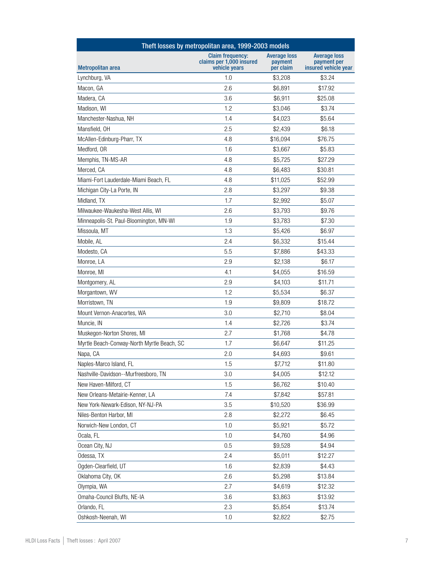| Theft losses by metropolitan area, 1999-2003 models |                                                                      |                                             |                                                            |
|-----------------------------------------------------|----------------------------------------------------------------------|---------------------------------------------|------------------------------------------------------------|
| Metropolitan area                                   | <b>Claim frequency:</b><br>claims per 1,000 insured<br>vehicle years | <b>Average loss</b><br>payment<br>per claim | <b>Average loss</b><br>payment per<br>insured vehicle year |
| Lynchburg, VA                                       | 1.0                                                                  | \$3,208                                     | \$3.24                                                     |
| Macon, GA                                           | 2.6                                                                  | \$6,891                                     | \$17.92                                                    |
| Madera, CA                                          | 3.6                                                                  | \$6,911                                     | \$25.08                                                    |
| Madison, WI                                         | 1.2                                                                  | \$3,046                                     | \$3.74                                                     |
| Manchester-Nashua, NH                               | 1.4                                                                  | \$4,023                                     | \$5.64                                                     |
| Mansfield, OH                                       | 2.5                                                                  | \$2,439                                     | \$6.18                                                     |
| McAllen-Edinburg-Pharr, TX                          | 4.8                                                                  | \$16,094                                    | \$76.75                                                    |
| Medford, OR                                         | 1.6                                                                  | \$3,667                                     | \$5.83                                                     |
| Memphis, TN-MS-AR                                   | 4.8                                                                  | \$5,725                                     | \$27.29                                                    |
| Merced, CA                                          | 4.8                                                                  | \$6,483                                     | \$30.81                                                    |
| Miami-Fort Lauderdale-Miami Beach, FL               | 4.8                                                                  | \$11,025                                    | \$52.99                                                    |
| Michigan City-La Porte, IN                          | 2.8                                                                  | \$3,297                                     | \$9.38                                                     |
| Midland, TX                                         | 1.7                                                                  | \$2,992                                     | \$5.07                                                     |
| Milwaukee-Waukesha-West Allis, WI                   | 2.6                                                                  | \$3,793                                     | \$9.76                                                     |
| Minneapolis-St. Paul-Bloomington, MN-WI             | 1.9                                                                  | \$3,783                                     | \$7.30                                                     |
| Missoula, MT                                        | 1.3                                                                  | \$5,426                                     | \$6.97                                                     |
| Mobile, AL                                          | 2.4                                                                  | \$6,332                                     | \$15.44                                                    |
| Modesto, CA                                         | 5.5                                                                  | \$7,886                                     | \$43.33                                                    |
| Monroe, LA                                          | 2.9                                                                  | \$2,138                                     | \$6.17                                                     |
| Monroe, MI                                          | 4.1                                                                  | \$4,055                                     | \$16.59                                                    |
| Montgomery, AL                                      | 2.9                                                                  | \$4,103                                     | \$11.71                                                    |
| Morgantown, WV                                      | 1.2                                                                  | \$5,534                                     | \$6.37                                                     |
| Morristown, TN                                      | 1.9                                                                  | \$9,809                                     | \$18.72                                                    |
| Mount Vernon-Anacortes, WA                          | 3.0                                                                  | \$2,710                                     | \$8.04                                                     |
| Muncie, IN                                          | 1.4                                                                  | \$2,726                                     | \$3.74                                                     |
| Muskegon-Norton Shores, MI                          | 2.7                                                                  | \$1,768                                     | \$4.78                                                     |
| Myrtle Beach-Conway-North Myrtle Beach, SC          | 1.7                                                                  | \$6,647                                     | \$11.25                                                    |
| Napa, CA                                            | 2.0                                                                  | \$4,693                                     | \$9.61                                                     |
| Naples-Marco Island, FL                             | 1.5                                                                  | \$7,712                                     | \$11.80                                                    |
| Nashville-Davidson--Murfreesboro, TN                | 3.0                                                                  | \$4,005                                     | \$12.12                                                    |
| New Haven-Milford, CT                               | 1.5                                                                  | \$6,762                                     | \$10.40                                                    |
| New Orleans-Metairie-Kenner, LA                     | 7.4                                                                  | \$7,842                                     | \$57.81                                                    |
| New York-Newark-Edison, NY-NJ-PA                    | 3.5                                                                  | \$10,520                                    | \$36.99                                                    |
| Niles-Benton Harbor, MI                             | 2.8                                                                  | \$2,272                                     | \$6.45                                                     |
| Norwich-New London, CT                              | 1.0                                                                  | \$5,921                                     | \$5.72                                                     |
| Ocala, FL                                           | 1.0                                                                  | \$4,760                                     | \$4.96                                                     |
| Ocean City, NJ                                      | 0.5                                                                  | \$9,528                                     | \$4.94                                                     |
| Odessa, TX                                          | 2.4                                                                  | \$5,011                                     | \$12.27                                                    |
| Ogden-Clearfield, UT                                | 1.6                                                                  | \$2,839                                     | \$4.43                                                     |
| Oklahoma City, OK                                   | 2.6                                                                  | \$5,298                                     | \$13.84                                                    |
| Olympia, WA                                         | 2.7                                                                  | \$4,619                                     | \$12.32                                                    |
| Omaha-Council Bluffs, NE-IA                         | 3.6                                                                  | \$3,863                                     | \$13.92                                                    |
| Orlando, FL                                         | 2.3                                                                  | \$5,854                                     | \$13.74                                                    |
| Oshkosh-Neenah, WI                                  | 1.0                                                                  | \$2,822                                     | \$2.75                                                     |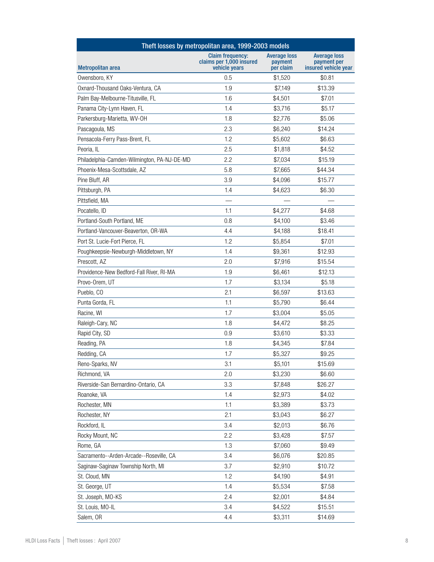| Theft losses by metropolitan area, 1999-2003 models |                                                                      |                                             |                                                            |  |
|-----------------------------------------------------|----------------------------------------------------------------------|---------------------------------------------|------------------------------------------------------------|--|
| Metropolitan area                                   | <b>Claim frequency:</b><br>claims per 1,000 insured<br>vehicle years | <b>Average loss</b><br>payment<br>per claim | <b>Average loss</b><br>payment per<br>insured vehicle year |  |
| Owensboro, KY                                       | 0.5                                                                  | \$1,520                                     | \$0.81                                                     |  |
| Oxnard-Thousand Oaks-Ventura, CA                    | 1.9                                                                  | \$7,149                                     | \$13.39                                                    |  |
| Palm Bay-Melbourne-Titusville, FL                   | 1.6                                                                  | \$4,501                                     | \$7.01                                                     |  |
| Panama City-Lynn Haven, FL                          | 1.4                                                                  | \$3,716                                     | \$5.17                                                     |  |
| Parkersburg-Marietta, WV-OH                         | 1.8                                                                  | \$2,776                                     | \$5.06                                                     |  |
| Pascagoula, MS                                      | 2.3                                                                  | \$6,240                                     | \$14.24                                                    |  |
| Pensacola-Ferry Pass-Brent, FL                      | 1.2                                                                  | \$5,602                                     | \$6.63                                                     |  |
| Peoria, IL                                          | 2.5                                                                  | \$1,818                                     | \$4.52                                                     |  |
| Philadelphia-Camden-Wilmington, PA-NJ-DE-MD         | 2.2                                                                  | \$7,034                                     | \$15.19                                                    |  |
| Phoenix-Mesa-Scottsdale, AZ                         | 5.8                                                                  | \$7,665                                     | \$44.34                                                    |  |
| Pine Bluff, AR                                      | 3.9                                                                  | \$4,096                                     | \$15.77                                                    |  |
| Pittsburgh, PA                                      | 1.4                                                                  | \$4,623                                     | \$6.30                                                     |  |
| Pittsfield, MA                                      |                                                                      |                                             |                                                            |  |
| Pocatello, ID                                       | 1.1                                                                  | \$4,277                                     | \$4.68                                                     |  |
| Portland-South Portland, ME                         | 0.8                                                                  | \$4,100                                     | \$3.46                                                     |  |
| Portland-Vancouver-Beaverton, OR-WA                 | 4.4                                                                  | \$4,188                                     | \$18.41                                                    |  |
| Port St. Lucie-Fort Pierce, FL                      | 1.2                                                                  | \$5,854                                     | \$7.01                                                     |  |
| Poughkeepsie-Newburgh-Middletown, NY                | 1.4                                                                  | \$9,361                                     | \$12.93                                                    |  |
| Prescott, AZ                                        | 2.0                                                                  | \$7,916                                     | \$15.54                                                    |  |
| Providence-New Bedford-Fall River, RI-MA            | 1.9                                                                  | \$6,461                                     | \$12.13                                                    |  |
| Provo-Orem, UT                                      | 1.7                                                                  | \$3,134                                     | \$5.18                                                     |  |
| Pueblo, CO                                          | 2.1                                                                  | \$6,597                                     | \$13.63                                                    |  |
| Punta Gorda, FL                                     | 1.1                                                                  | \$5,790                                     | \$6.44                                                     |  |
| Racine, WI                                          | 1.7                                                                  | \$3,004                                     | \$5.05                                                     |  |
| Raleigh-Cary, NC                                    | 1.8                                                                  | \$4,472                                     | \$8.25                                                     |  |
| Rapid City, SD                                      | 0.9                                                                  | \$3,610                                     | \$3.33                                                     |  |
| Reading, PA                                         | 1.8                                                                  | \$4,345                                     | \$7.84                                                     |  |
| Redding, CA                                         | 1.7                                                                  | \$5,327                                     | \$9.25                                                     |  |
| Reno-Sparks, NV                                     | 3.1                                                                  | \$5,101                                     | \$15.69                                                    |  |
| Richmond, VA                                        | 2.0                                                                  | \$3,230                                     | \$6.60                                                     |  |
| Riverside-San Bernardino-Ontario, CA                | 3.3                                                                  | \$7,848                                     | \$26.27                                                    |  |
| Roanoke, VA                                         | 1.4                                                                  | \$2,973                                     | \$4.02                                                     |  |
| Rochester, MN                                       | 1.1                                                                  | \$3,389                                     | \$3.73                                                     |  |
| Rochester, NY                                       | 2.1                                                                  | \$3,043                                     | \$6.27                                                     |  |
| Rockford, IL                                        | 3.4                                                                  | \$2,013                                     | \$6.76                                                     |  |
| Rocky Mount, NC                                     | 2.2                                                                  | \$3,428                                     | \$7.57                                                     |  |
| Rome, GA                                            | 1.3                                                                  | \$7,060                                     | \$9.49                                                     |  |
| Sacramento--Arden-Arcade--Roseville, CA             | 3.4                                                                  | \$6,076                                     | \$20.85                                                    |  |
| Saginaw-Saginaw Township North, MI                  | 3.7                                                                  | \$2,910                                     | \$10.72                                                    |  |
| St. Cloud, MN                                       | 1.2                                                                  | \$4,190                                     | \$4.91                                                     |  |
| St. George, UT                                      | 1.4                                                                  | \$5,534                                     | \$7.58                                                     |  |
| St. Joseph, MO-KS                                   | 2.4                                                                  | \$2,001                                     | \$4.84                                                     |  |
| St. Louis, MO-IL                                    | 3.4                                                                  | \$4,522                                     | \$15.51                                                    |  |
| Salem, OR                                           | 4.4                                                                  | \$3,311                                     | \$14.69                                                    |  |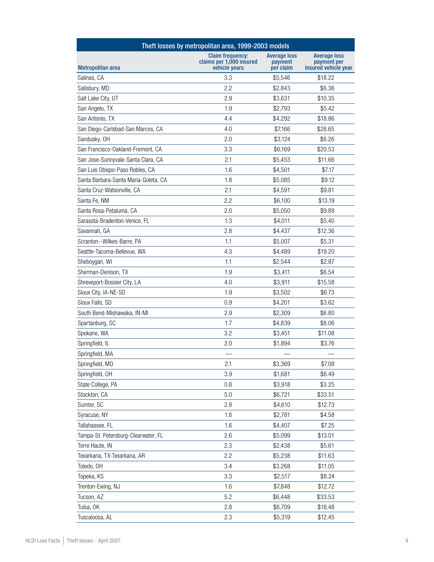| Theft losses by metropolitan area, 1999-2003 models |                                                                      |                                             |                                                            |
|-----------------------------------------------------|----------------------------------------------------------------------|---------------------------------------------|------------------------------------------------------------|
| Metropolitan area                                   | <b>Claim frequency:</b><br>claims per 1,000 insured<br>vehicle years | <b>Average loss</b><br>payment<br>per claim | <b>Average loss</b><br>payment per<br>insured vehicle year |
| Salinas, CA                                         | 3.3                                                                  | \$5.546                                     | \$18.22                                                    |
| Salisbury, MD                                       | 2.2                                                                  | \$2,843                                     | \$6.36                                                     |
| Salt Lake City, UT                                  | 2.9                                                                  | \$3,631                                     | \$10.35                                                    |
| San Angelo, TX                                      | 1.9                                                                  | \$2,793                                     | \$5.42                                                     |
| San Antonio, TX                                     | 4.4                                                                  | \$4,292                                     | \$18.86                                                    |
| San Diego-Carlsbad-San Marcos, CA                   | 4.0                                                                  | \$7,166                                     | \$28.65                                                    |
| Sandusky, OH                                        | 2.0                                                                  | \$3,124                                     | \$6.26                                                     |
| San Francisco-Oakland-Fremont, CA                   | 3.3                                                                  | \$6,169                                     | \$20.53                                                    |
| San Jose-Sunnyvale-Santa Clara, CA                  | 2.1                                                                  | \$5,453                                     | \$11.66                                                    |
| San Luis Obispo-Paso Robles, CA                     | 1.6                                                                  | \$4,501                                     | \$7.17                                                     |
| Santa Barbara-Santa Maria-Goleta, CA                | 1.8                                                                  | \$5,085                                     | \$9.12                                                     |
| Santa Cruz-Watsonville, CA                          | 2.1                                                                  | \$4,591                                     | \$9.81                                                     |
| Santa Fe, NM                                        | 2.2                                                                  | \$6,100                                     | \$13.19                                                    |
| Santa Rosa-Petaluma, CA                             | 2.0                                                                  | \$5,050                                     | \$9.89                                                     |
| Sarasota-Bradenton-Venice, FL                       | 1.3                                                                  | \$4,011                                     | \$5.40                                                     |
| Savannah, GA                                        | 2.8                                                                  | \$4,437                                     | \$12.36                                                    |
| Scranton--Wilkes-Barre, PA                          | 1.1                                                                  | \$5,007                                     | \$5.31                                                     |
| Seattle-Tacoma-Bellevue, WA                         | 4.3                                                                  | \$4,489                                     | \$19.20                                                    |
| Sheboygan, WI                                       | 1.1                                                                  | \$2,544                                     | \$2.87                                                     |
| Sherman-Denison, TX                                 | 1.9                                                                  | \$3,411                                     | \$6.54                                                     |
| Shreveport-Bossier City, LA                         | 4.0                                                                  | \$3,911                                     | \$15.58                                                    |
| Sioux City, IA-NE-SD                                | 1.9                                                                  | \$3,502                                     | \$6.73                                                     |
| Sioux Falls, SD                                     | 0.9                                                                  | \$4,201                                     | \$3.62                                                     |
| South Bend-Mishawaka, IN-MI                         | 2.9                                                                  | \$2,309                                     | \$6.80                                                     |
| Spartanburg, SC                                     | 1.7                                                                  | \$4,839                                     | \$8.06                                                     |
| Spokane, WA                                         | 3.2                                                                  | \$3,451                                     | \$11.08                                                    |
| Springfield, IL                                     | 2.0                                                                  | \$1,894                                     | \$3.76                                                     |
| Springfield, MA                                     |                                                                      |                                             |                                                            |
| Springfield, MO                                     | 2.1                                                                  | \$3,369                                     | \$7.08                                                     |
| Springfield, OH                                     | 3.9                                                                  | \$1,681                                     | \$6.49                                                     |
| State College, PA                                   | 0.8                                                                  | \$3,918                                     | \$3.25                                                     |
| Stockton, CA                                        | 5.0                                                                  | \$6,721                                     | \$33.51                                                    |
| Sumter, SC                                          | 2.8                                                                  | \$4,610                                     | \$12.73                                                    |
| Syracuse, NY                                        | 1.6                                                                  | \$2,781                                     | \$4.58                                                     |
| Tallahassee, FL                                     | 1.6                                                                  | \$4,407                                     | \$7.25                                                     |
| Tampa-St. Petersburg-Clearwater, FL                 | 2.6                                                                  | \$5,099                                     | \$13.01                                                    |
| Terre Haute, IN                                     | 2.3                                                                  | \$2,438                                     | \$5.61                                                     |
| Texarkana, TX-Texarkana, AR                         | 2.2                                                                  | \$5,238                                     | \$11.63                                                    |
| Toledo, OH                                          | 3.4                                                                  | \$3,268                                     | \$11.05                                                    |
| Topeka, KS                                          | 3.3                                                                  | \$2,517                                     | \$8.24                                                     |
| Trenton-Ewing, NJ                                   | 1.6                                                                  | \$7,848                                     | \$12.72                                                    |
| Tucson, AZ                                          | 5.2                                                                  | \$6,448                                     | \$33.53                                                    |
| Tulsa, OK                                           | 2.8                                                                  | \$6,709                                     | \$18.48                                                    |
| Tuscaloosa, AL                                      | 2.3                                                                  | \$5,319                                     | \$12.45                                                    |